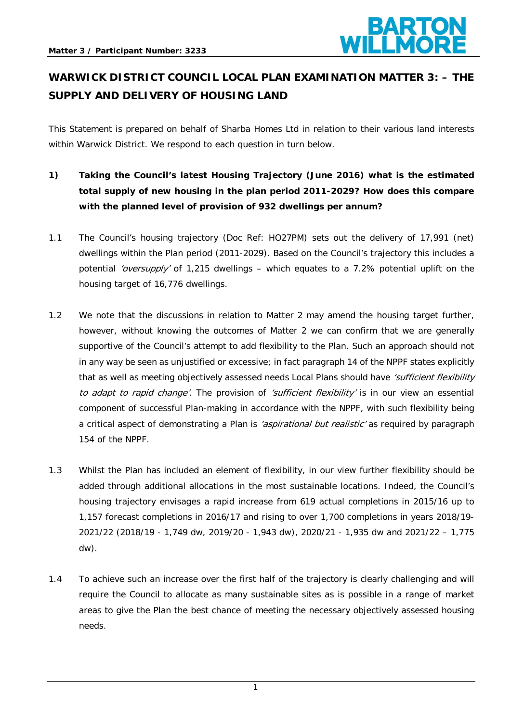

# **WARWICK DISTRICT COUNCIL LOCAL PLAN EXAMINATION MATTER 3: – THE SUPPLY AND DELIVERY OF HOUSING LAND**

This Statement is prepared on behalf of Sharba Homes Ltd in relation to their various land interests within Warwick District. We respond to each question in turn below.

- **1) Taking the Council's latest Housing Trajectory (June 2016) what is the estimated total supply of new housing in the plan period 2011-2029? How does this compare with the planned level of provision of 932 dwellings per annum?**
- 1.1 The Council's housing trajectory (Doc Ref: HO27PM) sets out the delivery of 17,991 (net) dwellings within the Plan period (2011-2029). Based on the Council's trajectory this includes a potential 'oversupply' of 1,215 dwellings – which equates to a 7.2% potential uplift on the housing target of 16,776 dwellings.
- 1.2 We note that the discussions in relation to Matter 2 may amend the housing target further, however, without knowing the outcomes of Matter 2 we can confirm that we are generally supportive of the Council's attempt to add flexibility to the Plan. Such an approach should not in any way be seen as unjustified or excessive; in fact paragraph 14 of the NPPF states explicitly that as well as meeting objectively assessed needs Local Plans should have 'sufficient flexibility to adapt to rapid change'. The provision of 'sufficient flexibility' is in our view an essential component of successful Plan-making in accordance with the NPPF, with such flexibility being a critical aspect of demonstrating a Plan is 'aspirational but realistic' as required by paragraph 154 of the NPPF.
- 1.3 Whilst the Plan has included an element of flexibility, in our view further flexibility should be added through additional allocations in the most sustainable locations. Indeed, the Council's housing trajectory envisages a rapid increase from 619 actual completions in 2015/16 up to 1,157 forecast completions in 2016/17 and rising to over 1,700 completions in years 2018/19- 2021/22 (2018/19 - 1,749 dw, 2019/20 - 1,943 dw), 2020/21 - 1,935 dw and 2021/22 – 1,775 dw).
- 1.4 To achieve such an increase over the first half of the trajectory is clearly challenging and will require the Council to allocate as many sustainable sites as is possible in a range of market areas to give the Plan the best chance of meeting the necessary objectively assessed housing needs.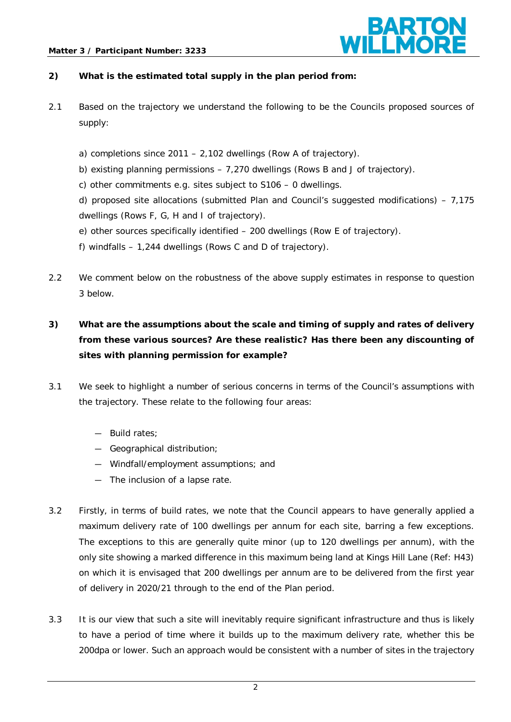#### **Matter 3 / Participant Number: 3233**



### **2) What is the estimated total supply in the plan period from:**

- 2.1 Based on the trajectory we understand the following to be the Councils proposed sources of supply:
	- a) completions since 2011 2,102 dwellings (Row A of trajectory).
	- b) existing planning permissions 7,270 dwellings (Rows B and J of trajectory).
	- c) other commitments e.g. sites subject to S106 0 dwellings.
	- d) proposed site allocations (submitted Plan and Council's suggested modifications)  $7,175$ dwellings (Rows F, G, H and I of trajectory).
	- e) other sources specifically identified 200 dwellings (Row E of trajectory).
	- f) windfalls 1,244 dwellings (Rows C and D of trajectory).
- 2.2 We comment below on the robustness of the above supply estimates in response to question 3 below.

## **3) What are the assumptions about the scale and timing of supply and rates of delivery from these various sources? Are these realistic? Has there been any discounting of sites with planning permission for example?**

- 3.1 We seek to highlight a number of serious concerns in terms of the Council's assumptions with the trajectory. These relate to the following four areas:
	- ― Build rates;
	- ― Geographical distribution;
	- ― Windfall/employment assumptions; and
	- ― The inclusion of a lapse rate.
- 3.2 Firstly, in terms of build rates, we note that the Council appears to have generally applied a maximum delivery rate of 100 dwellings per annum for each site, barring a few exceptions. The exceptions to this are generally quite minor (up to 120 dwellings per annum), with the only site showing a marked difference in this maximum being land at Kings Hill Lane (Ref: H43) on which it is envisaged that 200 dwellings per annum are to be delivered from the first year of delivery in 2020/21 through to the end of the Plan period.
- 3.3 It is our view that such a site will inevitably require significant infrastructure and thus is likely to have a period of time where it builds up to the maximum delivery rate, whether this be 200dpa or lower. Such an approach would be consistent with a number of sites in the trajectory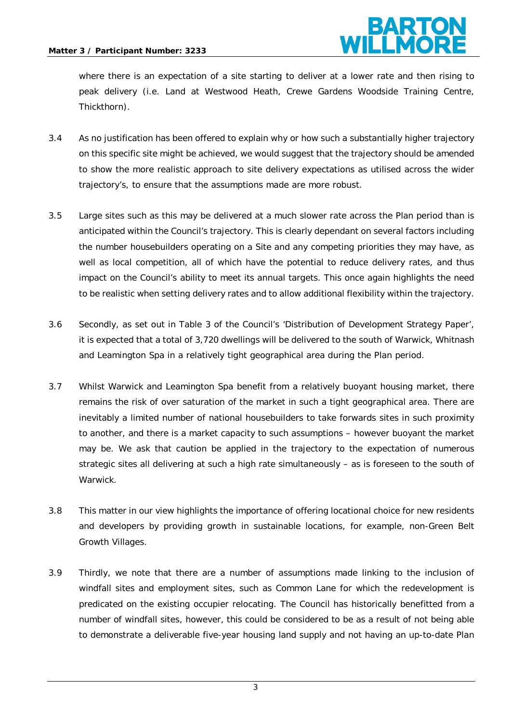

where there is an expectation of a site starting to deliver at a lower rate and then rising to peak delivery (i.e. Land at Westwood Heath, Crewe Gardens Woodside Training Centre, Thickthorn).

- 3.4 As no justification has been offered to explain why or how such a substantially higher trajectory on this specific site might be achieved, we would suggest that the trajectory should be amended to show the more realistic approach to site delivery expectations as utilised across the wider trajectory's, to ensure that the assumptions made are more robust.
- 3.5 Large sites such as this may be delivered at a much slower rate across the Plan period than is anticipated within the Council's trajectory. This is clearly dependant on several factors including the number housebuilders operating on a Site and any competing priorities they may have, as well as local competition, all of which have the potential to reduce delivery rates, and thus impact on the Council's ability to meet its annual targets. This once again highlights the need to be realistic when setting delivery rates and to allow additional flexibility within the trajectory.
- 3.6 Secondly, as set out in Table 3 of the Council's 'Distribution of Development Strategy Paper', it is expected that a total of 3,720 dwellings will be delivered to the south of Warwick, Whitnash and Leamington Spa in a relatively tight geographical area during the Plan period.
- 3.7 Whilst Warwick and Leamington Spa benefit from a relatively buoyant housing market, there remains the risk of over saturation of the market in such a tight geographical area. There are inevitably a limited number of national housebuilders to take forwards sites in such proximity to another, and there is a market capacity to such assumptions – however buoyant the market may be. We ask that caution be applied in the trajectory to the expectation of numerous strategic sites all delivering at such a high rate simultaneously – as is foreseen to the south of Warwick.
- 3.8 This matter in our view highlights the importance of offering locational choice for new residents and developers by providing growth in sustainable locations, for example, non-Green Belt Growth Villages.
- 3.9 Thirdly, we note that there are a number of assumptions made linking to the inclusion of windfall sites and employment sites, such as Common Lane for which the redevelopment is predicated on the existing occupier relocating. The Council has historically benefitted from a number of windfall sites, however, this could be considered to be as a result of not being able to demonstrate a deliverable five-year housing land supply and not having an up-to-date Plan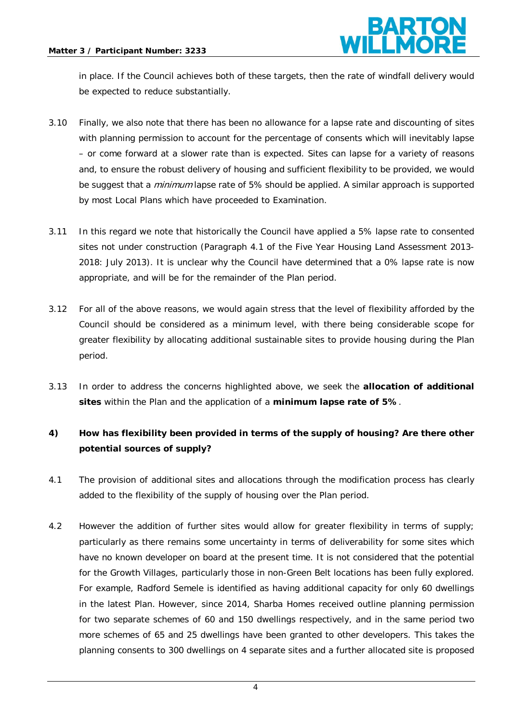

in place. If the Council achieves both of these targets, then the rate of windfall delivery would be expected to reduce substantially.

- 3.10 Finally, we also note that there has been no allowance for a lapse rate and discounting of sites with planning permission to account for the percentage of consents which will inevitably lapse – or come forward at a slower rate than is expected. Sites can lapse for a variety of reasons and, to ensure the robust delivery of housing and sufficient flexibility to be provided, we would be suggest that a *minimum* lapse rate of 5% should be applied. A similar approach is supported by most Local Plans which have proceeded to Examination.
- 3.11 In this regard we note that historically the Council have applied a 5% lapse rate to consented sites not under construction (Paragraph 4.1 of the Five Year Housing Land Assessment 2013- 2018: July 2013). It is unclear why the Council have determined that a 0% lapse rate is now appropriate, and will be for the remainder of the Plan period.
- 3.12 For all of the above reasons, we would again stress that the level of flexibility afforded by the Council should be considered as a minimum level, with there being considerable scope for greater flexibility by allocating additional sustainable sites to provide housing during the Plan period.
- 3.13 In order to address the concerns highlighted above, we seek the **allocation of additional sites** within the Plan and the application of a **minimum lapse rate of 5%**.

## **4) How has flexibility been provided in terms of the supply of housing? Are there other potential sources of supply?**

- 4.1 The provision of additional sites and allocations through the modification process has clearly added to the flexibility of the supply of housing over the Plan period.
- 4.2 However the addition of further sites would allow for greater flexibility in terms of supply; particularly as there remains some uncertainty in terms of deliverability for some sites which have no known developer on board at the present time. It is not considered that the potential for the Growth Villages, particularly those in non-Green Belt locations has been fully explored. For example, Radford Semele is identified as having additional capacity for only 60 dwellings in the latest Plan. However, since 2014, Sharba Homes received outline planning permission for two separate schemes of 60 and 150 dwellings respectively, and in the same period two more schemes of 65 and 25 dwellings have been granted to other developers. This takes the planning consents to 300 dwellings on 4 separate sites and a further allocated site is proposed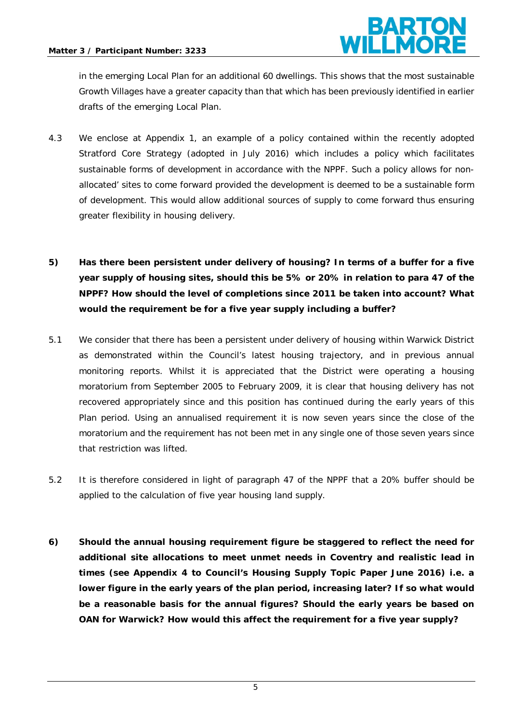

in the emerging Local Plan for an additional 60 dwellings. This shows that the most sustainable Growth Villages have a greater capacity than that which has been previously identified in earlier drafts of the emerging Local Plan.

- 4.3 We enclose at Appendix 1, an example of a policy contained within the recently adopted Stratford Core Strategy (adopted in July 2016) which includes a policy which facilitates sustainable forms of development in accordance with the NPPF. Such a policy allows for nonallocated' sites to come forward provided the development is deemed to be a sustainable form of development. This would allow additional sources of supply to come forward thus ensuring greater flexibility in housing delivery.
- **5) Has there been persistent under delivery of housing? In terms of a buffer for a five year supply of housing sites, should this be 5% or 20% in relation to para 47 of the NPPF? How should the level of completions since 2011 be taken into account? What would the requirement be for a five year supply including a buffer?**
- 5.1 We consider that there has been a persistent under delivery of housing within Warwick District as demonstrated within the Council's latest housing trajectory, and in previous annual monitoring reports. Whilst it is appreciated that the District were operating a housing moratorium from September 2005 to February 2009, it is clear that housing delivery has not recovered appropriately since and this position has continued during the early years of this Plan period. Using an annualised requirement it is now seven years since the close of the moratorium and the requirement has not been met in any single one of those seven years since that restriction was lifted.
- 5.2 It is therefore considered in light of paragraph 47 of the NPPF that a 20% buffer should be applied to the calculation of five year housing land supply.
- **6) Should the annual housing requirement figure be staggered to reflect the need for additional site allocations to meet unmet needs in Coventry and realistic lead in times (see Appendix 4 to Council's Housing Supply Topic Paper June 2016) i.e. a lower figure in the early years of the plan period, increasing later? If so what would be a reasonable basis for the annual figures? Should the early years be based on OAN for Warwick? How would this affect the requirement for a five year supply?**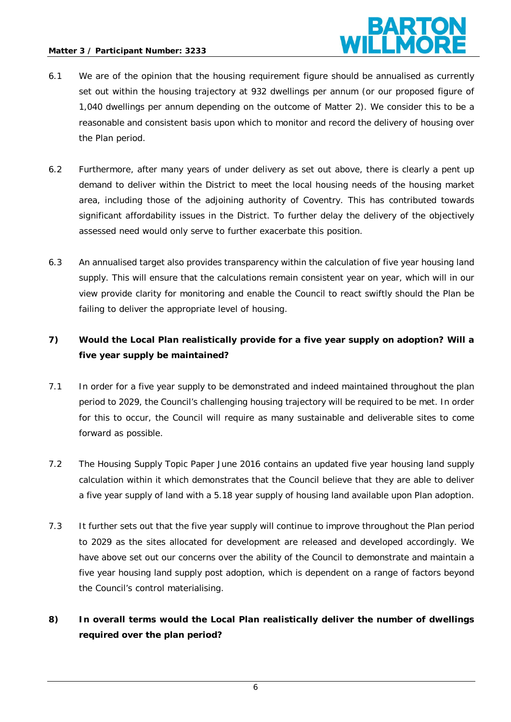

- 6.1 We are of the opinion that the housing requirement figure should be annualised as currently set out within the housing trajectory at 932 dwellings per annum (or our proposed figure of 1,040 dwellings per annum depending on the outcome of Matter 2). We consider this to be a reasonable and consistent basis upon which to monitor and record the delivery of housing over the Plan period.
- 6.2 Furthermore, after many years of under delivery as set out above, there is clearly a pent up demand to deliver within the District to meet the local housing needs of the housing market area, including those of the adjoining authority of Coventry. This has contributed towards significant affordability issues in the District. To further delay the delivery of the objectively assessed need would only serve to further exacerbate this position.
- 6.3 An annualised target also provides transparency within the calculation of five year housing land supply. This will ensure that the calculations remain consistent year on year, which will in our view provide clarity for monitoring and enable the Council to react swiftly should the Plan be failing to deliver the appropriate level of housing.

## **7) Would the Local Plan realistically provide for a five year supply on adoption? Will a five year supply be maintained?**

- 7.1 In order for a five year supply to be demonstrated and indeed maintained throughout the plan period to 2029, the Council's challenging housing trajectory will be required to be met. In order for this to occur, the Council will require as many sustainable and deliverable sites to come forward as possible.
- 7.2 The Housing Supply Topic Paper June 2016 contains an updated five year housing land supply calculation within it which demonstrates that the Council believe that they are able to deliver a five year supply of land with a 5.18 year supply of housing land available upon Plan adoption.
- 7.3 It further sets out that the five year supply will continue to improve throughout the Plan period to 2029 as the sites allocated for development are released and developed accordingly. We have above set out our concerns over the ability of the Council to demonstrate and maintain a five year housing land supply post adoption, which is dependent on a range of factors beyond the Council's control materialising.
- **8) In overall terms would the Local Plan realistically deliver the number of dwellings required over the plan period?**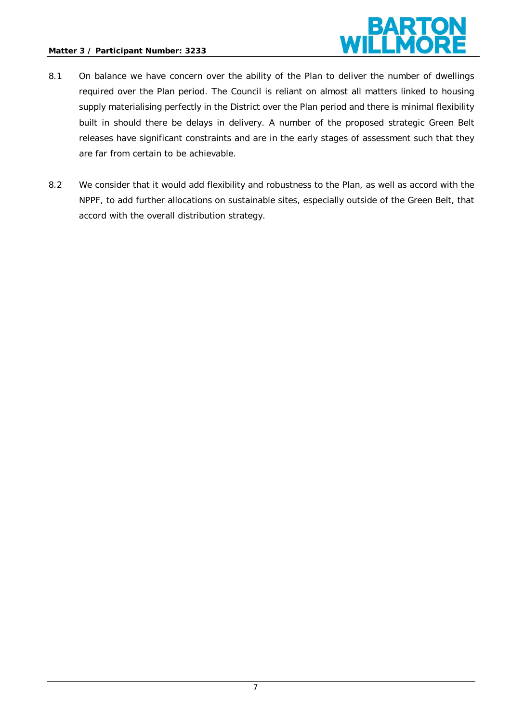### **Matter 3 / Participant Number: 3233**



- 8.1 On balance we have concern over the ability of the Plan to deliver the number of dwellings required over the Plan period. The Council is reliant on almost all matters linked to housing supply materialising perfectly in the District over the Plan period and there is minimal flexibility built in should there be delays in delivery. A number of the proposed strategic Green Belt releases have significant constraints and are in the early stages of assessment such that they are far from certain to be achievable.
- 8.2 We consider that it would add flexibility and robustness to the Plan, as well as accord with the NPPF, to add further allocations on sustainable sites, especially outside of the Green Belt, that accord with the overall distribution strategy.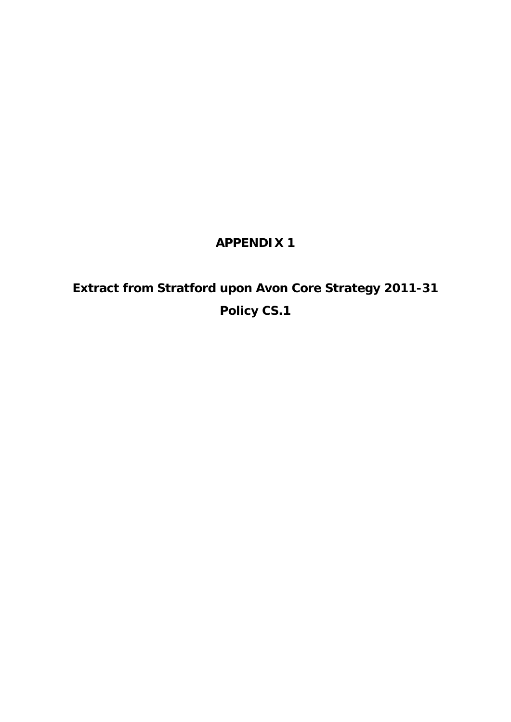# **APPENDIX 1**

# **Extract from Stratford upon Avon Core Strategy 2011-31 Policy CS.1**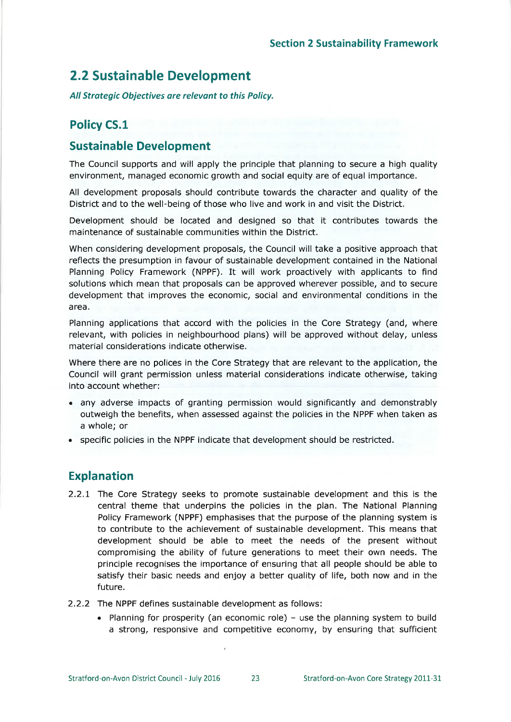# **2.2 Sustainable Development**

All Strategic Objectives are relevant to this Policy.

## **Policy CS.1**

### **Sustainable Development**

The Council supports and will apply the principle that planning to secure a high quality environment, managed economic growth and social equity are of equal importance.

All development proposals should contribute towards the character and quality of the District and to the well-being of those who live and work in and visit the District.

Development should be located and designed so that it contributes towards the maintenance of sustainable communities within the District.

When considering development proposals, the Council will take a positive approach that reflects the presumption in favour of sustainable development contained in the National Planning Policy Framework (NPPF). It will work proactively with applicants to find solutions which mean that proposals can be approved wherever possible, and to secure development that improves the economic, social and environmental conditions in the area.

Planning applications that accord with the policies in the Core Strategy (and, where relevant, with policies in neighbourhood plans) will be approved without delay, unless material considerations indicate otherwise.

Where there are no polices in the Core Strategy that are relevant to the application, the Council will grant permission unless material considerations indicate otherwise, taking into account whether:

- any adverse impacts of granting permission would significantly and demonstrably outweigh the benefits, when assessed against the policies in the NPPF when taken as a whole; or
- specific policies in the NPPF indicate that development should be restricted.

## **Explanation**

- 2.2.1 The Core Strategy seeks to promote sustainable development and this is the central theme that underpins the policies in the plan. The National Planning Policy Framework (NPPF) emphasises that the purpose of the planning system is to contribute to the achievement of sustainable development. This means that development should be able to meet the needs of the present without compromising the ability of future generations to meet their own needs. The principle recognises the importance of ensuring that all people should be able to satisfy their basic needs and enjoy a better quality of life, both now and in the future.
- 2.2.2 The NPPF defines sustainable development as follows:
	- Planning for prosperity (an economic role) use the planning system to build a strong, responsive and competitive economy, by ensuring that sufficient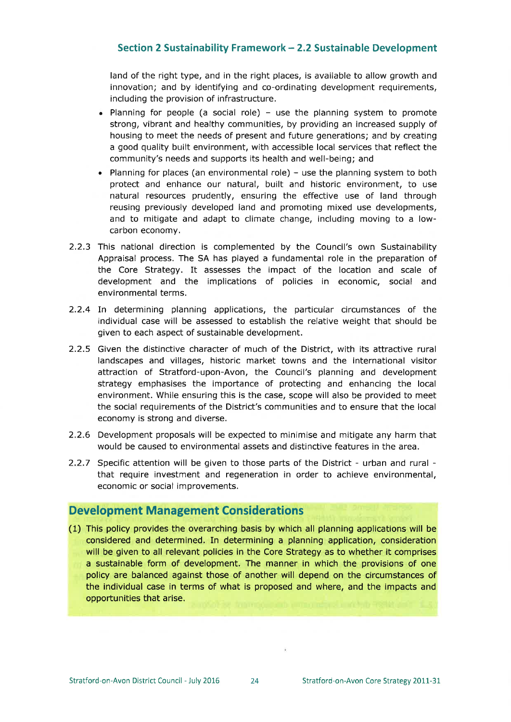### Section 2 Sustainability Framework - 2.2 Sustainable Development

land of the right type, and in the right places, is available to allow growth and innovation; and by identifying and co-ordinating development requirements, including the provision of infrastructure.

- Planning for people (a social role) use the planning system to promote strong, vibrant and healthy communities, by providing an increased supply of housing to meet the needs of present and future generations; and by creating a good quality built environment, with accessible local services that reflect the community's needs and supports its health and well-being; and
- Planning for places (an environmental role) use the planning system to both protect and enhance our natural, built and historic environment, to use natural resources prudently, ensuring the effective use of land through reusing previously developed land and promoting mixed use developments, and to mitigate and adapt to climate change, including moving to a lowcarbon economy.
- 2.2.3 This national direction is complemented by the Council's own Sustainability Appraisal process. The SA has played a fundamental role in the preparation of the Core Strategy. It assesses the impact of the location and scale of development and the implications of policies in economic, social and environmental terms.
- 2.2.4 In determining planning applications, the particular circumstances of the individual case will be assessed to establish the relative weight that should be given to each aspect of sustainable development.
- 2.2.5 Given the distinctive character of much of the District, with its attractive rural landscapes and villages, historic market towns and the international visitor attraction of Stratford-upon-Avon, the Council's planning and development strategy emphasises the importance of protecting and enhancing the local environment. While ensuring this is the case, scope will also be provided to meet the social requirements of the District's communities and to ensure that the local economy is strong and diverse.
- 2.2.6 Development proposals will be expected to minimise and mitigate any harm that would be caused to environmental assets and distinctive features in the area.
- 2.2.7 Specific attention will be given to those parts of the District urban and rural that require investment and regeneration in order to achieve environmental, economic or social improvements.

### **Development Management Considerations**

(1) This policy provides the overarching basis by which all planning applications will be considered and determined. In determining a planning application, consideration will be given to all relevant policies in the Core Strategy as to whether it comprises a sustainable form of development. The manner in which the provisions of one policy are balanced against those of another will depend on the circumstances of the individual case in terms of what is proposed and where, and the impacts and opportunities that arise.